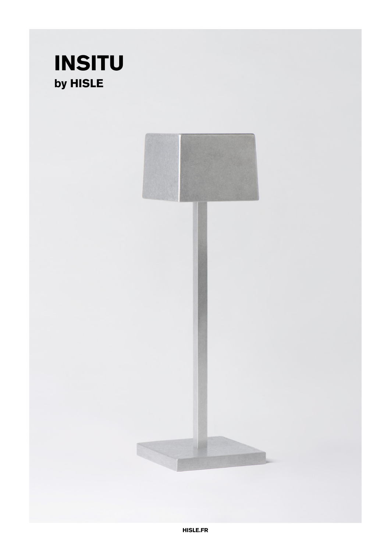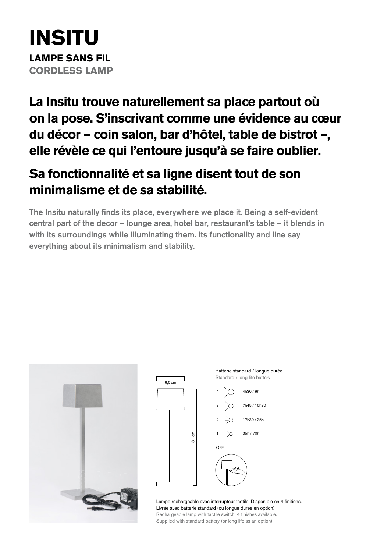# **INSITU LAMPE SANS FIL CORDLESS LAMP**

**La Insitu trouve naturellement sa place partout où on la pose. S'inscrivant comme une évidence au cœur du décor — coin salon, bar d'hôtel, table de bistrot –, elle révèle ce qui l'entoure jusqu'à se faire oublier.** 

## **Sa fonctionnalité et sa ligne disent tout de son minimalisme et de sa stabilité.**

The Insitu naturally finds its place, everywhere we place it. Being a self-evident central part of the decor – lounge area, hotel bar, restaurant's table – it blends in with its surroundings while illuminating them. Its functionality and line say everything about its minimalism and stability.





Lampe rechargeable avec interrupteur tactile. Disponible en 4 finitions. Livrée avec batterie standard (ou longue durée en option) Rechargeable lamp with tactile switch. 4 finishes available Supplied with standard battery (or long-life as an option)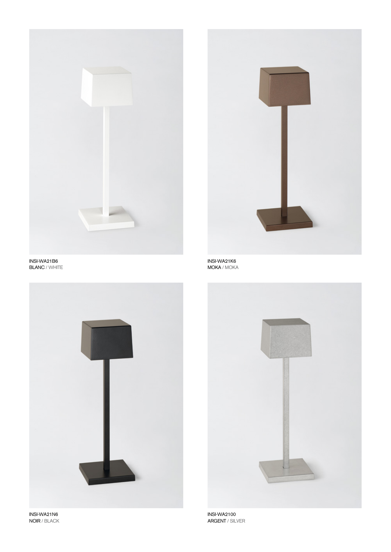



INSI-WA21B6 BLANC / WHITE



INSI-WA21K6 MOKA / MOKA



INSI-WA2100 ARGENT / SILVER

INSI-WA21N6 NOIR / BLACK